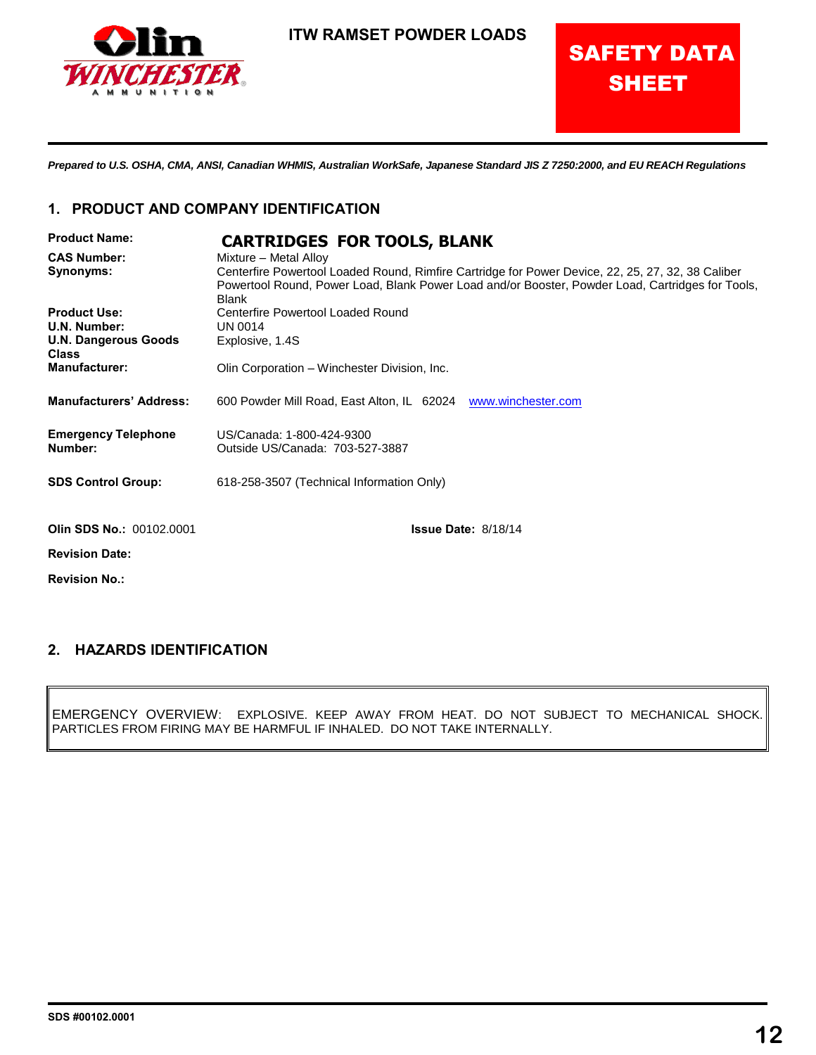

# **ITW RAMSET POWDER LOADS**

# **SAFETY DATA SHEET**

Prepared to U.S. OSHA, CMA, ANSI, Canadian WHMIS, Australian WorkSafe, Japanese Standard JIS Z 7250:2000, and EU REACH Regulations

# **1. PRODUCT AND COMPANY IDENTIFICATION**

| <b>Product Name:</b>                        | <b>CARTRIDGES FOR TOOLS, BLANK</b>                                                                                                                                                                                    |  |  |  |
|---------------------------------------------|-----------------------------------------------------------------------------------------------------------------------------------------------------------------------------------------------------------------------|--|--|--|
| <b>CAS Number:</b>                          | Mixture - Metal Alloy                                                                                                                                                                                                 |  |  |  |
| Synonyms:                                   | Centerfire Powertool Loaded Round, Rimfire Cartridge for Power Device, 22, 25, 27, 32, 38 Caliber<br>Powertool Round, Power Load, Blank Power Load and/or Booster, Powder Load, Cartridges for Tools,<br><b>Blank</b> |  |  |  |
| <b>Product Use:</b>                         | Centerfire Powertool Loaded Round                                                                                                                                                                                     |  |  |  |
| U.N. Number:                                | <b>UN 0014</b>                                                                                                                                                                                                        |  |  |  |
| <b>U.N. Dangerous Goods</b><br><b>Class</b> | Explosive, 1.4S                                                                                                                                                                                                       |  |  |  |
| <b>Manufacturer:</b>                        | Olin Corporation - Winchester Division, Inc.                                                                                                                                                                          |  |  |  |
| <b>Manufacturers' Address:</b>              | 600 Powder Mill Road, East Alton, IL 62024 www.winchester.com                                                                                                                                                         |  |  |  |
| <b>Emergency Telephone</b><br>Number:       | US/Canada: 1-800-424-9300<br>Outside US/Canada: 703-527-3887                                                                                                                                                          |  |  |  |
| <b>SDS Control Group:</b>                   | 618-258-3507 (Technical Information Only)                                                                                                                                                                             |  |  |  |
| <b>Olin SDS No.: 00102.0001</b>             | <b>Issue Date: 8/18/14</b>                                                                                                                                                                                            |  |  |  |
| <b>Revision Date:</b>                       |                                                                                                                                                                                                                       |  |  |  |
| <b>Revision No.:</b>                        |                                                                                                                                                                                                                       |  |  |  |
|                                             |                                                                                                                                                                                                                       |  |  |  |

# **2. HAZARDS IDENTIFICATION**

EMERGENCY OVERVIEW: EXPLOSIVE. KEEP AWAY FROM HEAT. DO NOT SUBJECT TO MECHANICAL SHOCK. PARTICLES FROM FIRING MAY BE HARMFUL IF INHALED. DO NOT TAKE INTERNALLY.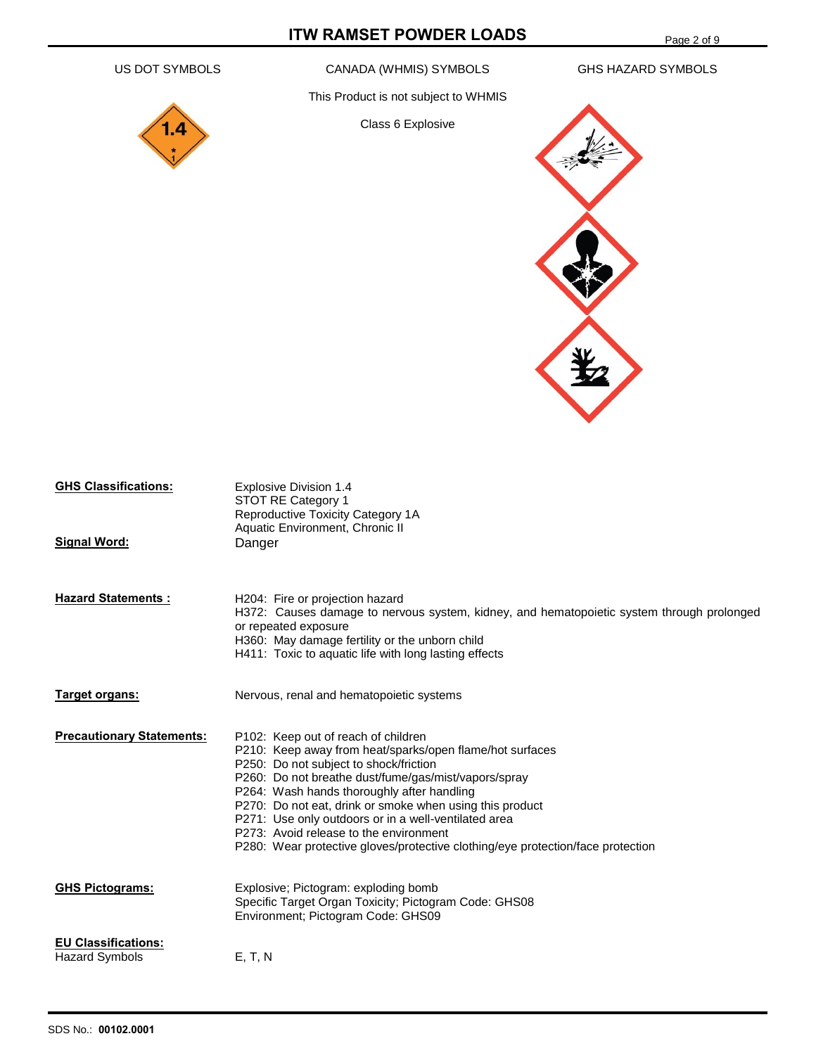# **ITW RAMSET POWDER LOADS**

US DOT SYMBOLS CANADA (WHMIS) SYMBOLS GHS HAZARD SYMBOLS

This Product is not subject to WHMIS

Class 6 Explosive



| <b>GHS Classifications:</b><br>Signal Word:         | <b>Explosive Division 1.4</b><br>STOT RE Category 1<br>Reproductive Toxicity Category 1A<br>Aquatic Environment, Chronic II<br>Danger                                                                                                                                                                                                                                                                                                                                                            |
|-----------------------------------------------------|--------------------------------------------------------------------------------------------------------------------------------------------------------------------------------------------------------------------------------------------------------------------------------------------------------------------------------------------------------------------------------------------------------------------------------------------------------------------------------------------------|
| <b>Hazard Statements:</b>                           | H204: Fire or projection hazard<br>H372: Causes damage to nervous system, kidney, and hematopoietic system through prolonged<br>or repeated exposure<br>H360: May damage fertility or the unborn child<br>H411: Toxic to aquatic life with long lasting effects                                                                                                                                                                                                                                  |
| Target organs:                                      | Nervous, renal and hematopoietic systems                                                                                                                                                                                                                                                                                                                                                                                                                                                         |
| <b>Precautionary Statements:</b>                    | P102: Keep out of reach of children<br>P210: Keep away from heat/sparks/open flame/hot surfaces<br>P250: Do not subject to shock/friction<br>P260: Do not breathe dust/fume/gas/mist/vapors/spray<br>P264: Wash hands thoroughly after handling<br>P270: Do not eat, drink or smoke when using this product<br>P271: Use only outdoors or in a well-ventilated area<br>P273: Avoid release to the environment<br>P280: Wear protective gloves/protective clothing/eye protection/face protection |
| <b>GHS Pictograms:</b>                              | Explosive; Pictogram: exploding bomb<br>Specific Target Organ Toxicity; Pictogram Code: GHS08<br>Environment; Pictogram Code: GHS09                                                                                                                                                                                                                                                                                                                                                              |
| <b>EU Classifications:</b><br><b>Hazard Symbols</b> | E, T, N                                                                                                                                                                                                                                                                                                                                                                                                                                                                                          |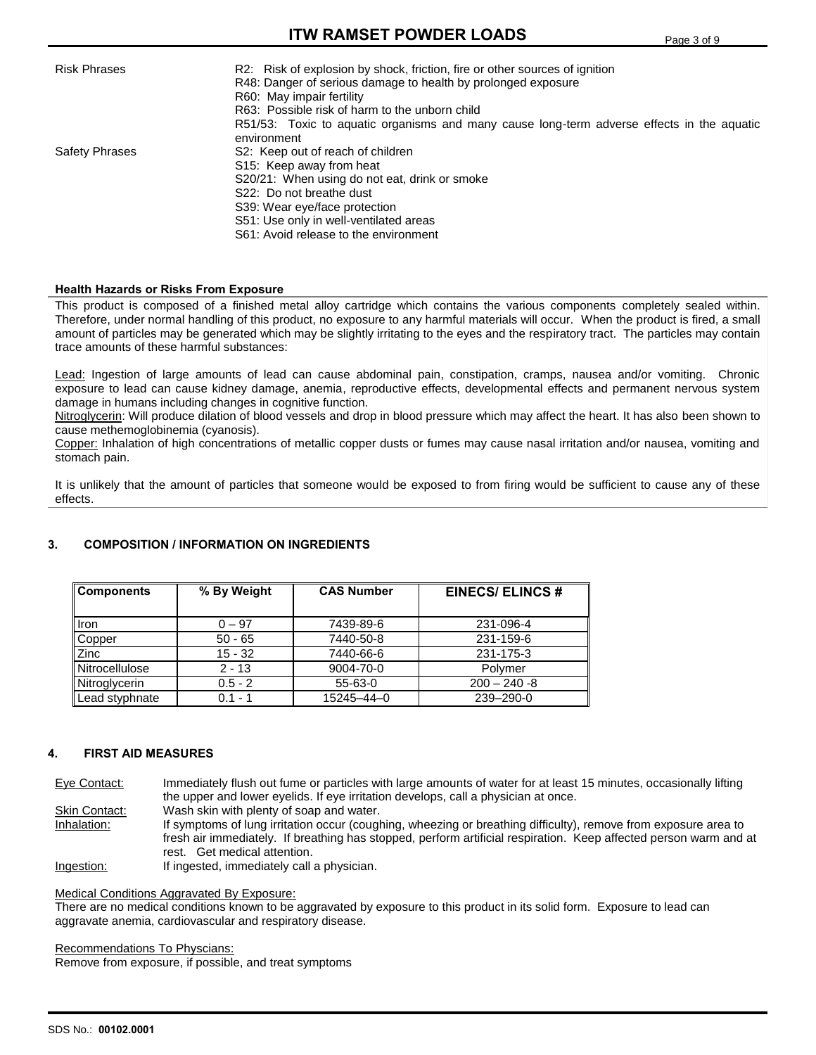# **ITW RAMSET POWDER LOADS**

| <b>Risk Phrases</b>   | R2: Risk of explosion by shock, friction, fire or other sources of ignition<br>R48: Danger of serious damage to health by prolonged exposure<br>R60: May impair fertility<br>R63: Possible risk of harm to the unborn child                                                 |
|-----------------------|-----------------------------------------------------------------------------------------------------------------------------------------------------------------------------------------------------------------------------------------------------------------------------|
|                       | R51/53: Toxic to aquatic organisms and many cause long-term adverse effects in the aquatic<br>environment                                                                                                                                                                   |
| <b>Safety Phrases</b> | S2: Keep out of reach of children<br>S <sub>15</sub> : Keep away from heat<br>S20/21: When using do not eat, drink or smoke<br>S22: Do not breathe dust<br>S39: Wear eye/face protection<br>S51: Use only in well-ventilated areas<br>S61: Avoid release to the environment |

#### **Health Hazards or Risks From Exposure**

This product is composed of a finished metal alloy cartridge which contains the various components completely sealed within. Therefore, under normal handling of this product, no exposure to any harmful materials will occur. When the product is fired, a small amount of particles may be generated which may be slightly irritating to the eyes and the respiratory tract. The particles may contain trace amounts of these harmful substances:

Lead: Ingestion of large amounts of lead can cause abdominal pain, constipation, cramps, nausea and/or vomiting. Chronic exposure to lead can cause kidney damage, anemia, reproductive effects, developmental effects and permanent nervous system damage in humans including changes in cognitive function.

Nitroglycerin: Will produce dilation of blood vessels and drop in blood pressure which may affect the heart. It has also been shown to cause methemoglobinemia (cyanosis).

Copper: Inhalation of high concentrations of metallic copper dusts or fumes may cause nasal irritation and/or nausea, vomiting and stomach pain.

It is unlikely that the amount of particles that someone would be exposed to from firing would be sufficient to cause any of these effects.

#### **3. COMPOSITION / INFORMATION ON INGREDIENTS**

| Components     | % By Weight | <b>CAS Number</b> | <b>EINECS/ ELINCS #</b> |
|----------------|-------------|-------------------|-------------------------|
|                |             |                   |                         |
| Iron           | $0 - 97$    | 7439-89-6         | 231-096-4               |
| Copper         | $50 - 65$   | 7440-50-8         | 231-159-6               |
| Zinc           | $15 - 32$   | 7440-66-6         | 231-175-3               |
| Nitrocellulose | $2 - 13$    | 9004-70-0         | Polymer                 |
| Nitroglycerin  | $0.5 - 2$   | 55-63-0           | $200 - 240 - 8$         |
| Lead styphnate | $0.1 - 1$   | $15245 - 44 - 0$  | 239-290-0               |

#### **4. FIRST AID MEASURES**

Eye Contact: Immediately flush out fume or particles with large amounts of water for at least 15 minutes, occasionally lifting the upper and lower eyelids. If eye irritation develops, call a physician at once. Skin Contact: Wash skin with plenty of soap and water.

Inhalation: If symptoms of lung irritation occur (coughing, wheezing or breathing difficulty), remove from exposure area to fresh air immediately. If breathing has stopped, perform artificial respiration. Keep affected person warm and at rest. Get medical attention.

Ingestion: If ingested, immediately call a physician.

#### Medical Conditions Aggravated By Exposure:

There are no medical conditions known to be aggravated by exposure to this product in its solid form. Exposure to lead can aggravate anemia, cardiovascular and respiratory disease.

Recommendations To Physcians:

Remove from exposure, if possible, and treat symptoms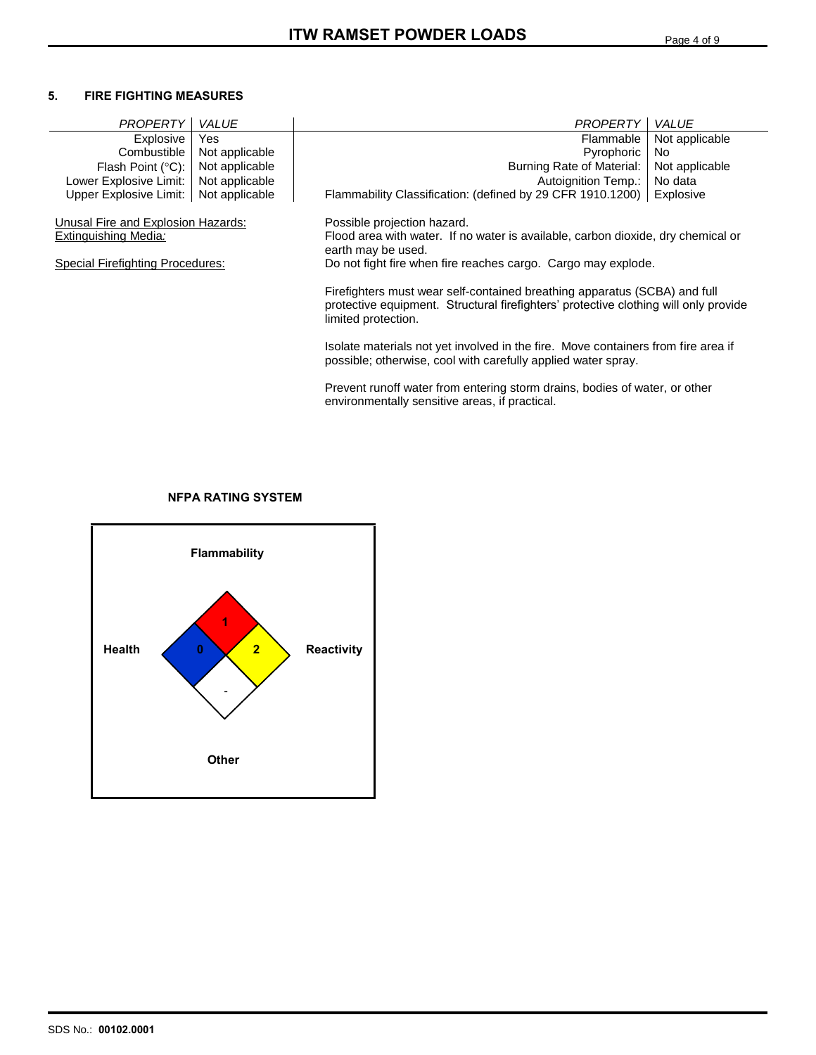#### **5. FIRE FIGHTING MEASURES**

| <b>PROPERTY</b>                                            | VALUE          | <b>PROPERTY</b>                                                                                                                                                                          | <b>VALUE</b>                                                                     |  |  |  |
|------------------------------------------------------------|----------------|------------------------------------------------------------------------------------------------------------------------------------------------------------------------------------------|----------------------------------------------------------------------------------|--|--|--|
| Explosive                                                  | Yes            | Flammable                                                                                                                                                                                | Not applicable                                                                   |  |  |  |
| Combustible                                                | Not applicable | Pyrophoric                                                                                                                                                                               | No.                                                                              |  |  |  |
| Flash Point $(°C)$ :                                       | Not applicable | Burning Rate of Material:                                                                                                                                                                | Not applicable                                                                   |  |  |  |
| Lower Explosive Limit:                                     | Not applicable | Autoignition Temp.:                                                                                                                                                                      | No data                                                                          |  |  |  |
| Upper Explosive Limit:                                     | Not applicable | Flammability Classification: (defined by 29 CFR 1910.1200)                                                                                                                               | Explosive                                                                        |  |  |  |
| Unusal Fire and Explosion Hazards:<br>Extinguishing Media: |                | Possible projection hazard.<br>earth may be used.                                                                                                                                        | Flood area with water. If no water is available, carbon dioxide, dry chemical or |  |  |  |
| Special Firefighting Procedures:                           |                | Do not fight fire when fire reaches cargo. Cargo may explode.                                                                                                                            |                                                                                  |  |  |  |
|                                                            |                | Firefighters must wear self-contained breathing apparatus (SCBA) and full<br>protective equipment. Structural firefighters' protective clothing will only provide<br>limited protection. |                                                                                  |  |  |  |
|                                                            |                | Isolate materials not yet involved in the fire. Move containers from fire area if<br>possible; otherwise, cool with carefully applied water spray.                                       |                                                                                  |  |  |  |
|                                                            |                | Prevent runoff water from entering storm drains, bodies of water, or other<br>environmentally sensitive areas, if practical.                                                             |                                                                                  |  |  |  |

#### **NFPA RATING SYSTEM**

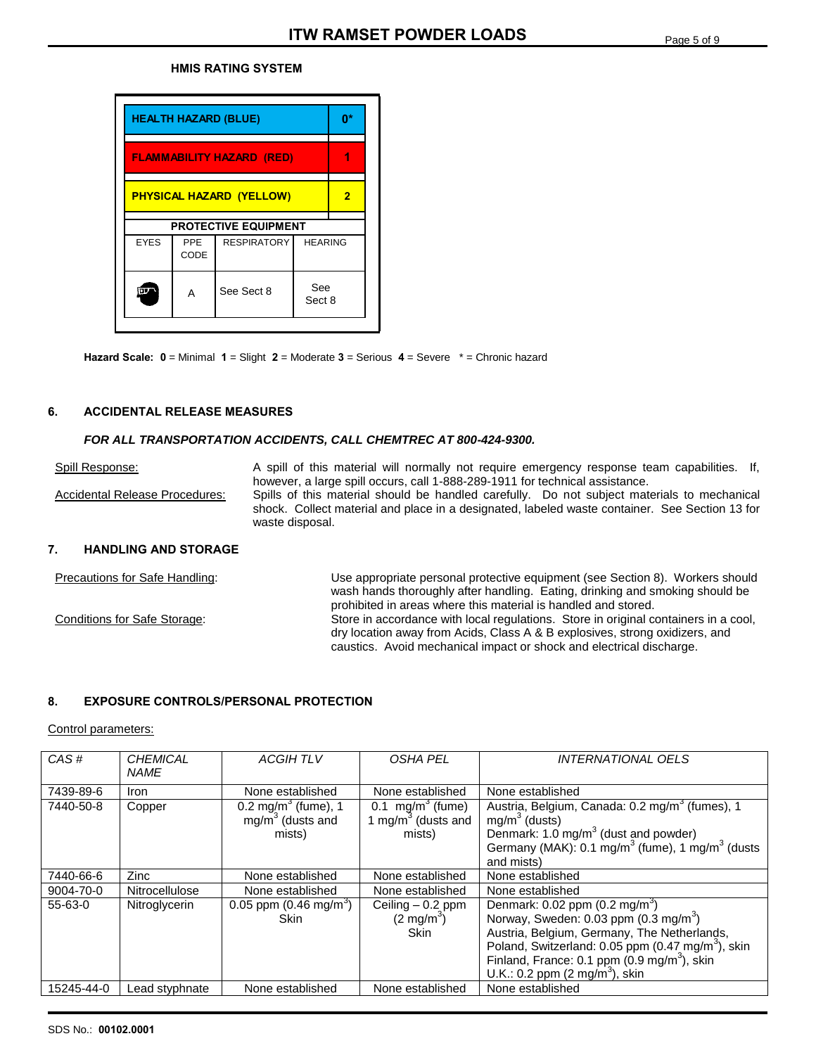#### **HMIS RATING SYSTEM**

| <b>HEALTH HAZARD (BLUE)</b>      |               |                    |                |   |
|----------------------------------|---------------|--------------------|----------------|---|
| <b>FLAMMABILITY HAZARD (RED)</b> |               |                    |                |   |
| <b>PHYSICAL HAZARD (YELLOW)</b>  |               |                    |                | 2 |
| <b>PROTECTIVE EQUIPMENT</b>      |               |                    |                |   |
| <b>EYES</b>                      | PPE<br>CODE   | <b>RESPIRATORY</b> | <b>HEARING</b> |   |
|                                  | See<br>Sect 8 |                    |                |   |

**Hazard Scale: 0** = Minimal **1** = Slight **2** = Moderate **3** = Serious **4** = Severe \* = Chronic hazard

#### **6. ACCIDENTAL RELEASE MEASURES**

#### *FOR ALL TRANSPORTATION ACCIDENTS, CALL CHEMTREC AT 800-424-9300.*

Spill Response: A spill of this material will normally not require emergency response team capabilities. If, however, a large spill occurs, call 1-888-289-1911 for technical assistance. Accidental Release Procedures: Spills of this material should be handled carefully. Do not subject materials to mechanical shock. Collect material and place in a designated, labeled waste container. See Section 13 for waste disposal.

#### **7. HANDLING AND STORAGE**

Precautions for Safe Handling: Use appropriate personal protective equipment (see Section 8). Workers should wash hands thoroughly after handling. Eating, drinking and smoking should be prohibited in areas where this material is handled and stored. Conditions for Safe Storage: Store in accordance with local regulations. Store in original containers in a cool, dry location away from Acids, Class A & B explosives, strong oxidizers, and caustics. Avoid mechanical impact or shock and electrical discharge.

#### **8. EXPOSURE CONTROLS/PERSONAL PROTECTION**

Control parameters:

| CAS#       | <b>CHEMICAL</b><br><b>NAME</b> | <b>ACGIHTLV</b>                                                 | OSHA PEL                                                        | <i><b>INTERNATIONAL OELS</b></i>                                                                                                                                                                                                                                                                                        |
|------------|--------------------------------|-----------------------------------------------------------------|-----------------------------------------------------------------|-------------------------------------------------------------------------------------------------------------------------------------------------------------------------------------------------------------------------------------------------------------------------------------------------------------------------|
| 7439-89-6  | Iron                           | None established                                                | None established                                                | None established                                                                                                                                                                                                                                                                                                        |
| 7440-50-8  | Copper                         | 0.2 mg/m <sup>3</sup> (fume), 1<br>$mg/m3$ (dusts and<br>mists) | 0.1 $mg/m^3$ (fume)<br>1 mg/m <sup>3</sup> (dusts and<br>mists) | Austria, Belgium, Canada: 0.2 mg/m <sup>3</sup> (fumes), 1<br>$mg/m3$ (dusts)<br>Denmark: 1.0 mg/m <sup>3</sup> (dust and powder)<br>Germany (MAK): $0.1 \text{ mg/m}^3$ (fume), $1 \text{ mg/m}^3$ (dusts<br>and mists)                                                                                                |
| 7440-66-6  | Zinc                           | None established                                                | None established                                                | None established                                                                                                                                                                                                                                                                                                        |
| 9004-70-0  | Nitrocellulose                 | None established                                                | None established                                                | None established                                                                                                                                                                                                                                                                                                        |
| $55-63-0$  | Nitroglycerin                  | 0.05 ppm $(0.46 \text{ mg/m}^3)$<br><b>Skin</b>                 | Ceiling $-0.2$ ppm<br>$(2 \text{ mg/m}^3)$<br><b>Skin</b>       | Denmark: $0.02$ ppm $(0.2$ mg/m <sup>3</sup> )<br>Norway, Sweden: 0.03 ppm $(0.3 \text{ mg/m}^3)$<br>Austria, Belgium, Germany, The Netherlands,<br>Poland, Switzerland: 0.05 ppm $(0.47 \text{ mg/m}^3)$ , skin<br>Finland, France: 0.1 ppm $(0.9 \text{ mg/m}^3)$ , skin<br>U.K.: 0.2 ppm $(2 \text{ mg/m}^3)$ , skin |
| 15245-44-0 | Lead styphnate                 | None established                                                | None established                                                | None established                                                                                                                                                                                                                                                                                                        |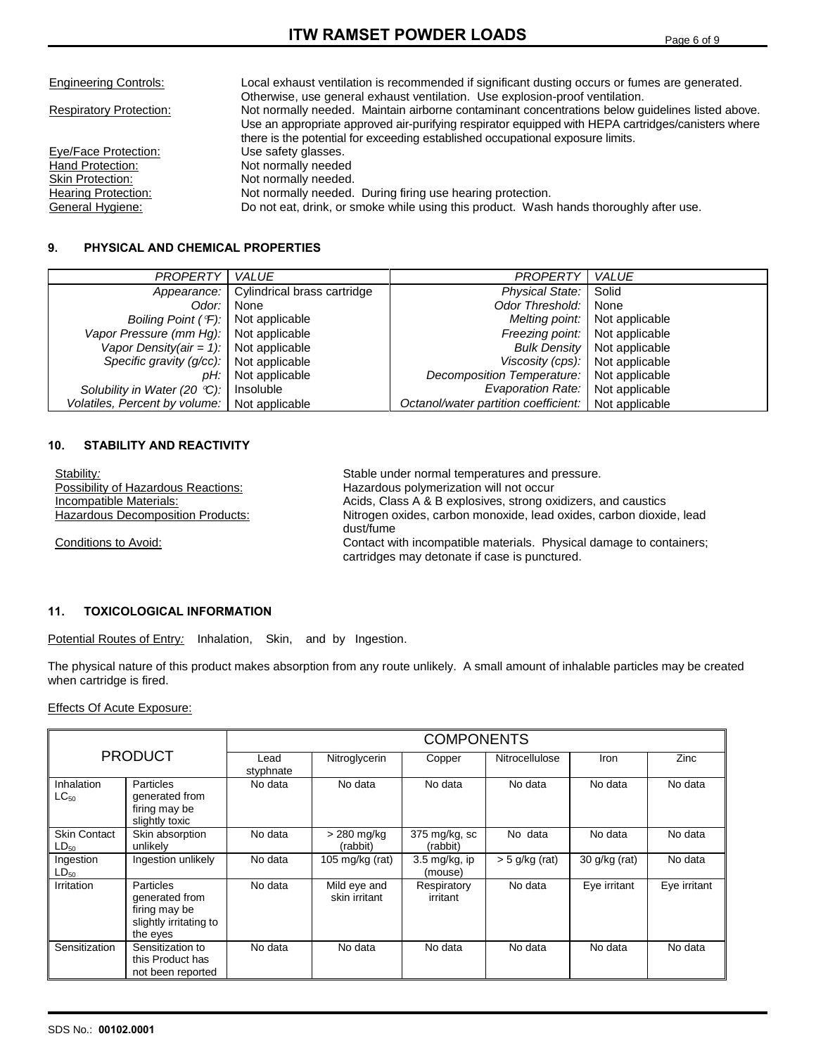| <b>Engineering Controls:</b>   | Local exhaust ventilation is recommended if significant dusting occurs or fumes are generated.     |
|--------------------------------|----------------------------------------------------------------------------------------------------|
|                                | Otherwise, use general exhaust ventilation. Use explosion-proof ventilation.                       |
| <b>Respiratory Protection:</b> | Not normally needed. Maintain airborne contaminant concentrations below guidelines listed above.   |
|                                | Use an appropriate approved air-purifying respirator equipped with HEPA cartridges/canisters where |
|                                | there is the potential for exceeding established occupational exposure limits.                     |
| Eye/Face Protection:           | Use safety glasses.                                                                                |
| Hand Protection:               | Not normally needed                                                                                |
| <b>Skin Protection:</b>        | Not normally needed.                                                                               |
| <b>Hearing Protection:</b>     | Not normally needed. During firing use hearing protection.                                         |
| General Hygiene:               | Do not eat, drink, or smoke while using this product. Wash hands thoroughly after use.             |
|                                |                                                                                                    |

#### **9. PHYSICAL AND CHEMICAL PROPERTIES**

| <b>PROPERTY</b>                                 | <b>VALUE</b>                | PROPERTY                             | <i>VALUE</i>   |
|-------------------------------------------------|-----------------------------|--------------------------------------|----------------|
| Appearance:                                     | Cylindrical brass cartridge | <b>Physical State:</b>               | Solid          |
| Odor:                                           | None                        | <b>Odor Threshold:</b>               | None           |
| Boiling Point ( ${}^{\circ}$ F): Not applicable |                             | Melting point:                       | Not applicable |
| Vapor Pressure (mm Hg): Not applicable          |                             | Freezing point:                      | Not applicable |
| Vapor Density(air = 1): Not applicable          |                             | <b>Bulk Density</b>                  | Not applicable |
| Specific gravity (g/cc): Not applicable         |                             | Viscosity (cps):                     | Not applicable |
| pH:                                             | Not applicable              | Decomposition Temperature:           | Not applicable |
| Solubility in Water (20 °C):                    | Insoluble                   | <b>Evaporation Rate:</b>             | Not applicable |
| Volatiles, Percent by volume:   Not applicable  |                             | Octanol/water partition coefficient: | Not applicable |

#### **10. STABILITY AND REACTIVITY**

| Stability:                               | Stable under normal temperatures and pressure.                                                                       |
|------------------------------------------|----------------------------------------------------------------------------------------------------------------------|
| Possibility of Hazardous Reactions:      | Hazardous polymerization will not occur                                                                              |
| Incompatible Materials:                  | Acids, Class A & B explosives, strong oxidizers, and caustics                                                        |
| <b>Hazardous Decomposition Products:</b> | Nitrogen oxides, carbon monoxide, lead oxides, carbon dioxide, lead<br>dust/fume                                     |
| Conditions to Avoid:                     | Contact with incompatible materials. Physical damage to containers;<br>cartridges may detonate if case is punctured. |

#### **11. TOXICOLOGICAL INFORMATION**

Potential Routes of Entry*:* Inhalation, Skin, and by Ingestion.

The physical nature of this product makes absorption from any route unlikely. A small amount of inhalable particles may be created when cartridge is fired.

Effects Of Acute Exposure:

|                                  |                                                                                           | <b>COMPONENTS</b> |                               |                                     |                  |                 |              |
|----------------------------------|-------------------------------------------------------------------------------------------|-------------------|-------------------------------|-------------------------------------|------------------|-----------------|--------------|
|                                  | <b>PRODUCT</b>                                                                            | Lead<br>styphnate | Nitroglycerin                 | Copper                              | Nitrocellulose   | Iron            | Zinc         |
| Inhalation<br>$LC_{50}$          | <b>Particles</b><br>generated from<br>firing may be<br>slightly toxic                     | No data           | No data                       | No data                             | No data          | No data         | No data      |
| <b>Skin Contact</b><br>$LD_{50}$ | Skin absorption<br>unlikely                                                               | No data           | $> 280$ mg/kg<br>(rabbit)     | 375 mg/kg, sc<br>(rabbit)           | No data          | No data         | No data      |
| Ingestion<br>$LD_{50}$           | Ingestion unlikely                                                                        | No data           | 105 mg/kg (rat)               | $3.5 \text{ mg/kg}$ , ip<br>(mouse) | $>$ 5 g/kg (rat) | $30$ g/kg (rat) | No data      |
| Irritation                       | <b>Particles</b><br>generated from<br>firing may be<br>slightly irritating to<br>the eyes | No data           | Mild eve and<br>skin irritant | Respiratory<br>irritant             | No data          | Eye irritant    | Eye irritant |
| Sensitization                    | Sensitization to<br>this Product has<br>not been reported                                 | No data           | No data                       | No data                             | No data          | No data         | No data      |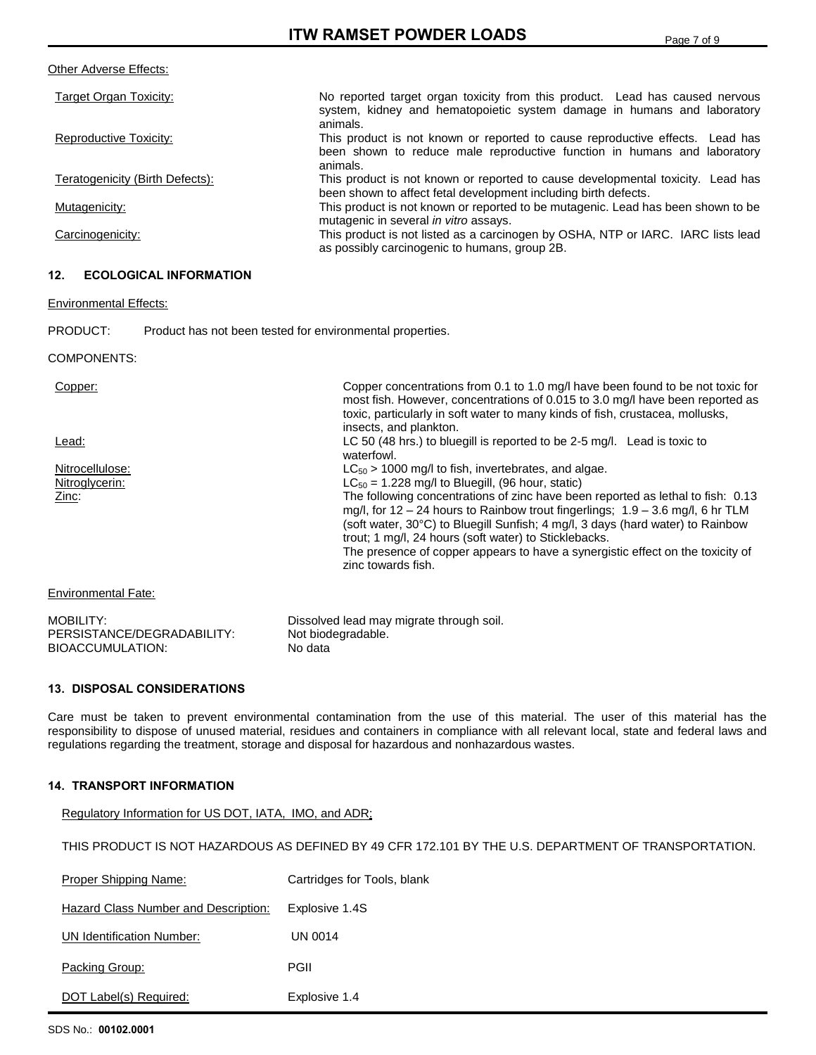| Target Organ Toxicity:          | No reported target organ toxicity from this product. Lead has caused nervous<br>system, kidney and hematopoietic system damage in humans and laboratory |
|---------------------------------|---------------------------------------------------------------------------------------------------------------------------------------------------------|
|                                 | animals.                                                                                                                                                |
| <b>Reproductive Toxicity:</b>   | This product is not known or reported to cause reproductive effects. Lead has                                                                           |
|                                 | been shown to reduce male reproductive function in humans and laboratory<br>animals.                                                                    |
| Teratogenicity (Birth Defects): | This product is not known or reported to cause developmental toxicity. Lead has<br>been shown to affect fetal development including birth defects.      |
| Mutagenicity:                   | This product is not known or reported to be mutagenic. Lead has been shown to be<br>mutagenic in several in vitro assays.                               |
| Carcinogenicity:                | This product is not listed as a carcinogen by OSHA, NTP or IARC. IARC lists lead<br>as possibly carcinogenic to humans, group 2B.                       |
|                                 |                                                                                                                                                         |

#### **12. ECOLOGICAL INFORMATION**

Environmental Effects:

Other Adverse Effects:

PRODUCT: Product has not been tested for environmental properties.

#### COMPONENTS:

| Copper:                                                            | Copper concentrations from 0.1 to 1.0 mg/l have been found to be not toxic for<br>most fish. However, concentrations of 0.015 to 3.0 mg/l have been reported as<br>toxic, particularly in soft water to many kinds of fish, crustacea, mollusks,<br>insects, and plankton.                                                                                                                                               |  |  |
|--------------------------------------------------------------------|--------------------------------------------------------------------------------------------------------------------------------------------------------------------------------------------------------------------------------------------------------------------------------------------------------------------------------------------------------------------------------------------------------------------------|--|--|
| Lead:                                                              | LC 50 (48 hrs.) to bluegill is reported to be 2-5 mg/l. Lead is toxic to<br>waterfowl.                                                                                                                                                                                                                                                                                                                                   |  |  |
| Nitrocellulose:                                                    | $LC_{50}$ > 1000 mg/l to fish, invertebrates, and algae.                                                                                                                                                                                                                                                                                                                                                                 |  |  |
| Nitroglycerin:                                                     | $LC_{50}$ = 1.228 mg/l to Bluegill, (96 hour, static)                                                                                                                                                                                                                                                                                                                                                                    |  |  |
| Zinc:                                                              | The following concentrations of zinc have been reported as lethal to fish: 0.13<br>mg/l, for $12 - 24$ hours to Rainbow trout fingerlings; $1.9 - 3.6$ mg/l, 6 hr TLM<br>(soft water, 30°C) to Bluegill Sunfish; 4 mg/l, 3 days (hard water) to Rainbow<br>trout; 1 mg/l, 24 hours (soft water) to Sticklebacks.<br>The presence of copper appears to have a synergistic effect on the toxicity of<br>zinc towards fish. |  |  |
| <b>Environmental Fate:</b>                                         |                                                                                                                                                                                                                                                                                                                                                                                                                          |  |  |
| MOBILITY:<br>PERSISTANCE/DEGRADABILITY:<br><b>BIOACCUMULATION:</b> | Dissolved lead may migrate through soil.<br>Not biodegradable.<br>No data                                                                                                                                                                                                                                                                                                                                                |  |  |

#### **13. DISPOSAL CONSIDERATIONS**

Care must be taken to prevent environmental contamination from the use of this material. The user of this material has the responsibility to dispose of unused material, residues and containers in compliance with all relevant local, state and federal laws and regulations regarding the treatment, storage and disposal for hazardous and nonhazardous wastes.

#### **14. TRANSPORT INFORMATION**

Regulatory Information for US DOT, IATA, IMO, and ADR:

THIS PRODUCT IS NOT HAZARDOUS AS DEFINED BY 49 CFR 172.101 BY THE U.S. DEPARTMENT OF TRANSPORTATION.

| Proper Shipping Name:                | Cartridges for Tools, blank |
|--------------------------------------|-----------------------------|
| Hazard Class Number and Description: | Explosive 1.4S              |
| UN Identification Number:            | UN 0014                     |
| Packing Group:                       | PGII                        |
| DOT Label(s) Required:               | Explosive 1.4               |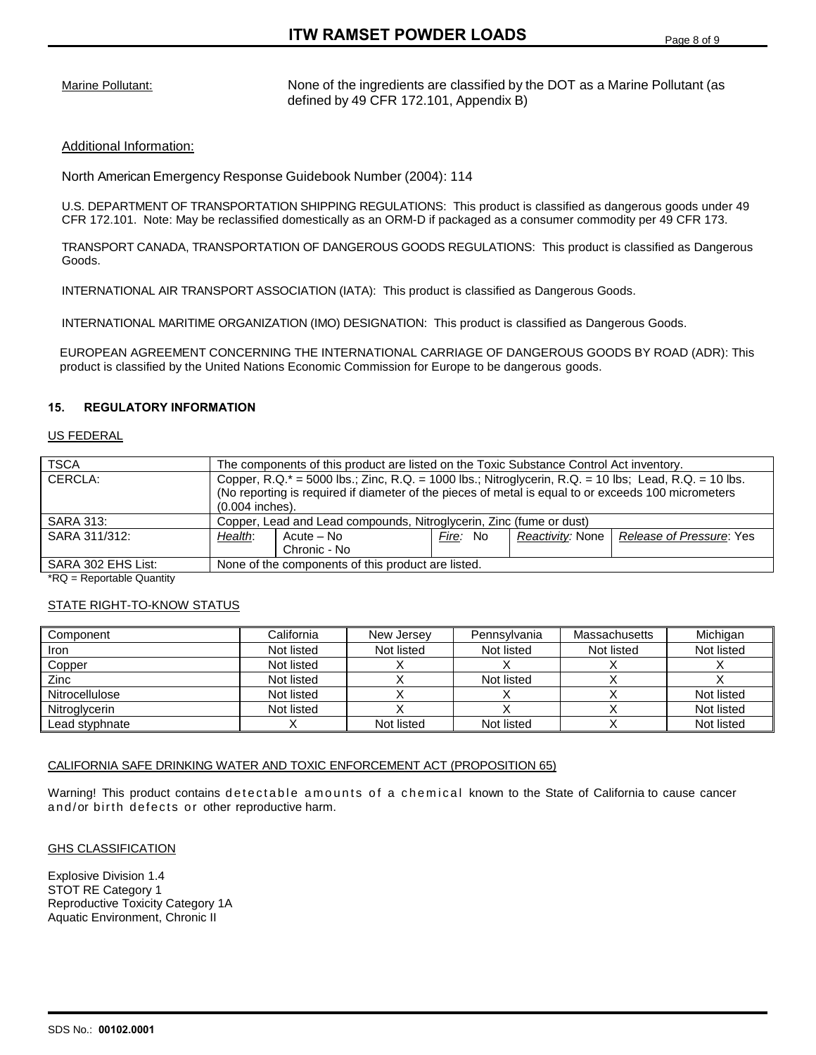Marine Pollutant: None of the ingredients are classified by the DOT as a Marine Pollutant (as defined by 49 CFR 172.101, Appendix B)

#### Additional Information:

North American Emergency Response Guidebook Number (2004): 114

U.S. DEPARTMENT OF TRANSPORTATION SHIPPING REGULATIONS: This product is classified as dangerous goods under 49 CFR 172.101. Note: May be reclassified domestically as an ORM-D if packaged as a consumer commodity per 49 CFR 173.

TRANSPORT CANADA, TRANSPORTATION OF DANGEROUS GOODS REGULATIONS: This product is classified as Dangerous Goods.

INTERNATIONAL AIR TRANSPORT ASSOCIATION (IATA): This product is classified as Dangerous Goods.

INTERNATIONAL MARITIME ORGANIZATION (IMO) DESIGNATION: This product is classified as Dangerous Goods.

EUROPEAN AGREEMENT CONCERNING THE INTERNATIONAL CARRIAGE OF DANGEROUS GOODS BY ROAD (ADR): This product is classified by the United Nations Economic Commission for Europe to be dangerous goods.

#### **15. REGULATORY INFORMATION**

#### US FEDERAL

| TSCA                     | The components of this product are listed on the Toxic Substance Control Act inventory.               |              |          |                  |                          |
|--------------------------|-------------------------------------------------------------------------------------------------------|--------------|----------|------------------|--------------------------|
| CERCLA:                  | Copper, R.Q.* = 5000 lbs.; Zinc, R.Q. = 1000 lbs.; Nitroglycerin, R.Q. = 10 lbs; Lead, R.Q. = 10 lbs. |              |          |                  |                          |
|                          | (No reporting is required if diameter of the pieces of metal is equal to or exceeds 100 micrometers   |              |          |                  |                          |
|                          | $(0.004$ inches).                                                                                     |              |          |                  |                          |
| SARA 313:                | Copper, Lead and Lead compounds, Nitroglycerin, Zinc (fume or dust)                                   |              |          |                  |                          |
| SARA 311/312:            | Health:                                                                                               | Acute – No   | Fire: No | Reactivity: None | Release of Pressure: Yes |
|                          |                                                                                                       | Chronic - No |          |                  |                          |
| SARA 302 EHS List:       | None of the components of this product are listed.                                                    |              |          |                  |                          |
| $*D0$ Departable Ougains |                                                                                                       |              |          |                  |                          |

\*RQ = Reportable Quantity

#### STATE RIGHT-TO-KNOW STATUS

| Component             | California | New Jersey | Pennsylvania | <b>Massachusetts</b> | Michigan   |
|-----------------------|------------|------------|--------------|----------------------|------------|
| Iron                  | Not listed | Not listed | Not listed   | Not listed           | Not listed |
| Copper                | Not listed |            |              |                      |            |
| Zinc                  | Not listed |            | Not listed   |                      |            |
| <b>Nitrocellulose</b> | Not listed |            |              |                      | Not listed |
| Nitroglycerin         | Not listed |            |              |                      | Not listed |
| Lead styphnate        |            | Not listed | Not listed   |                      | Not listed |

#### CALIFORNIA SAFE DRINKING WATER AND TOXIC ENFORCEMENT ACT (PROPOSITION 65)

Warning! This product contains detectable amounts of a chemical known to the State of California to cause cancer and/or birth defects or other reproductive harm.

#### **GHS CLASSIFICATION**

Explosive Division 1.4 STOT RE Category 1 Reproductive Toxicity Category 1A Aquatic Environment, Chronic II